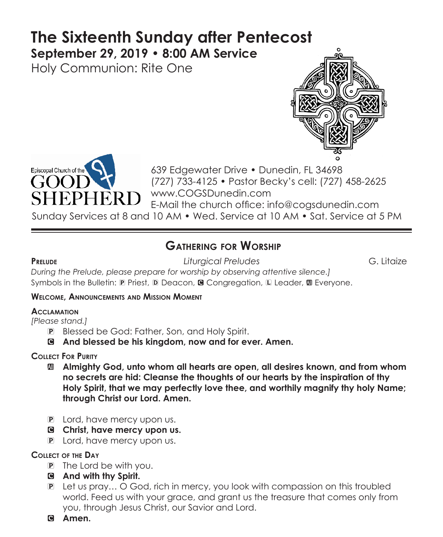# **The Sixteenth Sunday after Pentecost September 29, 2019 • 8:00 AM Service**

Holy Communion: Rite One





639 Edgewater Drive • Dunedin, FL 34698 (727) 733-4125 • Pastor Becky's cell: (727) 458-2625 HERD WWW.COGSDunedin.com E-Mail the church office: info@cogsdunedin.com Sunday Services at 8 and 10 AM • Wed. Service at 10 AM • Sat. Service at 5 PM

# **Gathering for Worship**

**Prelude** *Liturgical Preludes* G. Litaize

*During the Prelude, please prepare for worship by observing attentive silence.]* Symbols in the Bulletin: **P** Priest, **D** Deacon, **G** Congregation, L Leader, **M** Everyone.

## **Welcome, Announcements and Mission Moment**

## **Acclamation**

*[Please stand.]* 

- P Blessed be God: Father, Son, and Holy Spirit.
- C **And blessed be his kingdom, now and for ever. Amen.**

# **Collect For Purity**

- a **Almighty God, unto whom all hearts are open, all desires known, and from whom no secrets are hid: Cleanse the thoughts of our hearts by the inspiration of thy Holy Spirit, that we may perfectly love thee, and worthily magnify thy holy Name; through Christ our Lord. Amen.**
- **P** Lord, have mercy upon us.
- C **Christ, have mercy upon us.**
- **P** Lord, have mercy upon us.

# **Collect of the Day**

- P The Lord be with you.
- C **And with thy Spirit.**
- P Let us pray… O God, rich in mercy, you look with compassion on this troubled world. Feed us with your grace, and grant us the treasure that comes only from you, through Jesus Christ, our Savior and Lord.
- C **Amen.**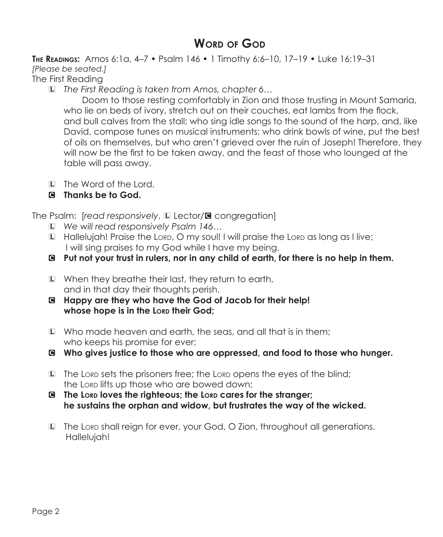# **WORD OF GOD**

**The Readings:** Amos 6:1a, 4–7 • Psalm 146 • 1 Timothy 6:6–10, 17–19 • Luke 16:19–31 *[Please be seated.]*

The First Reading

L *The First Reading is taken from Amos, chapter 6…*

 Doom to those resting comfortably in Zion and those trusting in Mount Samaria, who lie on beds of ivory, stretch out on their couches, eat lambs from the flock, and bull calves from the stall; who sing idle songs to the sound of the harp, and, like David, compose tunes on musical instruments; who drink bowls of wine, put the best of oils on themselves, but who aren't grieved over the ruin of Joseph! Therefore, they will now be the first to be taken away, and the feast of those who lounged at the table will pass away.

- L The Word of the Lord.
- C **Thanks be to God.**

The Psalm: [*read responsively*, **L** Lector/**G** congregation]

- L *We will read responsively Psalm 146…*
- L Hallelujah! Praise the Lorp, O my soul! I will praise the Lorp as long as I live; I will sing praises to my God while I have my being.
- C **Put not your trust in rulers, nor in any child of earth, for there is no help in them.**
- L When they breathe their last, they return to earth, and in that day their thoughts perish.
- C **Happy are they who have the God of Jacob for their help! whose hope is in the Lord their God;**
- L Who made heaven and earth, the seas, and all that is in them; who keeps his promise for ever;
- C **Who gives justice to those who are oppressed, and food to those who hunger.**
- $L$  The Lord sets the prisoners free; the Lord opens the eyes of the blind; the Lord lifts up those who are bowed down;
- C **The Lord loves the righteous; the Lord cares for the stranger; he sustains the orphan and widow, but frustrates the way of the wicked.**
- L The Lord shall reign for ever, your God, O Zion, throughout all generations. Hallelujah!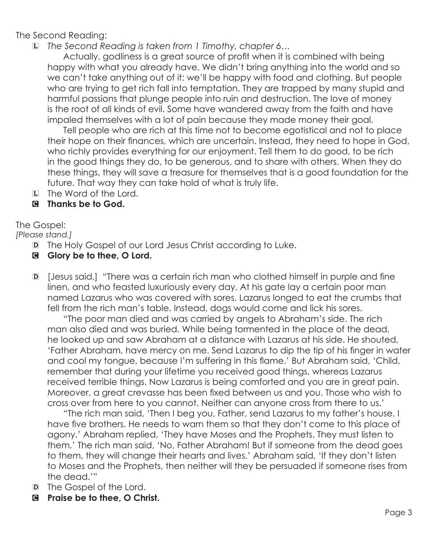The Second Reading:

L *The Second Reading is taken from 1 Timothy, chapter 6…*

Actually, godliness is a great source of profit when it is combined with being happy with what you already have. We didn't bring anything into the world and so we can't take anything out of it: we'll be happy with food and clothing. But people who are trying to get rich fall into temptation. They are trapped by many stupid and harmful passions that plunge people into ruin and destruction. The love of money is the root of all kinds of evil. Some have wandered away from the faith and have impaled themselves with a lot of pain because they made money their goal.

 Tell people who are rich at this time not to become egotistical and not to place their hope on their finances, which are uncertain. Instead, they need to hope in God, who richly provides everything for our enjoyment. Tell them to do good, to be rich in the good things they do, to be generous, and to share with others. When they do these things, they will save a treasure for themselves that is a good foundation for the future. That way they can take hold of what is truly life.

- L The Word of the Lord.
- C **Thanks be to God.**

# The Gospel:

*[Please stand.]*

- D The Holy Gospel of our Lord Jesus Christ according to Luke.
- C **Glory be to thee, O Lord.**

D [Jesus said,] "There was a certain rich man who clothed himself in purple and fine linen, and who feasted luxuriously every day. At his gate lay a certain poor man named Lazarus who was covered with sores. Lazarus longed to eat the crumbs that fell from the rich man's table. Instead, dogs would come and lick his sores.

 "The poor man died and was carried by angels to Abraham's side. The rich man also died and was buried. While being tormented in the place of the dead, he looked up and saw Abraham at a distance with Lazarus at his side. He shouted, 'Father Abraham, have mercy on me. Send Lazarus to dip the tip of his finger in water and cool my tongue, because I'm suffering in this flame.' But Abraham said, 'Child, remember that during your lifetime you received good things, whereas Lazarus received terrible things. Now Lazarus is being comforted and you are in great pain. Moreover, a great crevasse has been fixed between us and you. Those who wish to cross over from here to you cannot. Neither can anyone cross from there to us.'

 "The rich man said, 'Then I beg you, Father, send Lazarus to my father's house. I have five brothers. He needs to warn them so that they don't come to this place of agony.' Abraham replied, 'They have Moses and the Prophets. They must listen to them.' The rich man said, 'No, Father Abraham! But if someone from the dead goes to them, they will change their hearts and lives.' Abraham said, 'If they don't listen to Moses and the Prophets, then neither will they be persuaded if someone rises from the dead.'"

- D The Gospel of the Lord.
- C **Praise be to thee, O Christ.**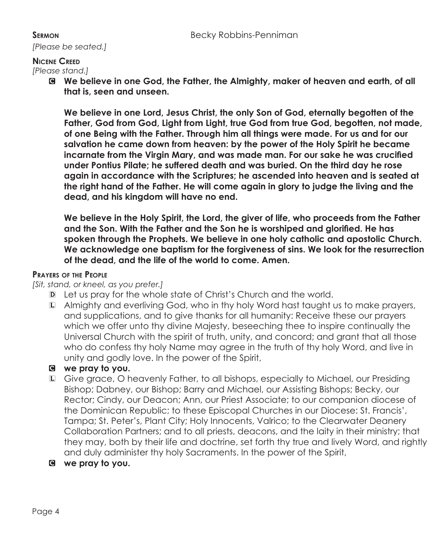*[Please be seated.]*

## **Nicene Creed**

*[Please stand.]*

C **We believe in one God, the Father, the Almighty, maker of heaven and earth, of all that is, seen and unseen.** 

 **We believe in one Lord, Jesus Christ, the only Son of God, eternally begotten of the Father, God from God, Light from Light, true God from true God, begotten, not made, of one Being with the Father. Through him all things were made. For us and for our salvation he came down from heaven: by the power of the Holy Spirit he became incarnate from the Virgin Mary, and was made man. For our sake he was crucified under Pontius Pilate; he suffered death and was buried. On the third day he rose again in accordance with the Scriptures; he ascended into heaven and is seated at the right hand of the Father. He will come again in glory to judge the living and the dead, and his kingdom will have no end.**

 **We believe in the Holy Spirit, the Lord, the giver of life, who proceeds from the Father and the Son. With the Father and the Son he is worshiped and glorified. He has spoken through the Prophets. We believe in one holy catholic and apostolic Church. We acknowledge one baptism for the forgiveness of sins. We look for the resurrection of the dead, and the life of the world to come. Amen.**

## **Prayers of the People**

*[Sit, stand, or kneel, as you prefer.]*

- D Let us pray for the whole state of Christ's Church and the world.
- L Almighty and everliving God, who in thy holy Word hast taught us to make prayers, and supplications, and to give thanks for all humanity: Receive these our prayers which we offer unto thy divine Majesty, beseeching thee to inspire continually the Universal Church with the spirit of truth, unity, and concord; and grant that all those who do confess thy holy Name may agree in the truth of thy holy Word, and live in unity and godly love. In the power of the Spirit,

# C **we pray to you.**

- L Give grace, O heavenly Father, to all bishops, especially to Michael, our Presiding Bishop; Dabney, our Bishop; Barry and Michael, our Assisting Bishops; Becky, our Rector; Cindy, our Deacon; Ann, our Priest Associate; to our companion diocese of the Dominican Republic; to these Episcopal Churches in our Diocese: St. Francis', Tampa; St. Peter's, Plant City; Holy Innocents, Valrico; to the Clearwater Deanery Collaboration Partners; and to all priests, deacons, and the laity in their ministry; that they may, both by their life and doctrine, set forth thy true and lively Word, and rightly and duly administer thy holy Sacraments. In the power of the Spirit,
- C **we pray to you.**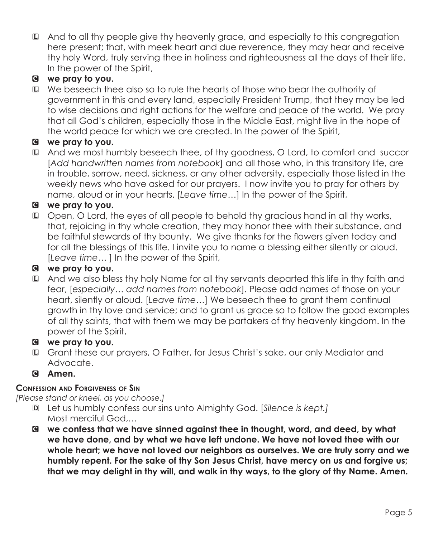L And to all thy people give thy heavenly grace, and especially to this congregation here present; that, with meek heart and due reverence, they may hear and receive thy holy Word, truly serving thee in holiness and righteousness all the days of their life. In the power of the Spirit,

# C **we pray to you.**

L We beseech thee also so to rule the hearts of those who bear the authority of government in this and every land, especially President Trump, that they may be led to wise decisions and right actions for the welfare and peace of the world. We pray that all God's children, especially those in the Middle East, might live in the hope of the world peace for which we are created. In the power of the Spirit,

# C **we pray to you.**

L And we most humbly beseech thee, of thy goodness, O Lord, to comfort and succor [*Add handwritten names from notebook*] and all those who, in this transitory life, are in trouble, sorrow, need, sickness, or any other adversity, especially those listed in the weekly news who have asked for our prayers. I now invite you to pray for others by name, aloud or in your hearts. [*Leave time…*] In the power of the Spirit,

# C **we pray to you.**

L Open, O Lord, the eyes of all people to behold thy gracious hand in all thy works, that, rejoicing in thy whole creation, they may honor thee with their substance, and be faithful stewards of thy bounty. We give thanks for the flowers given today and for all the blessings of this life. I invite you to name a blessing either silently or aloud. [*Leave time…* ] In the power of the Spirit,

# C **we pray to you.**

L And we also bless thy holy Name for all thy servants departed this life in thy faith and fear, [*especially… add names from notebook*]. Please add names of those on your heart, silently or aloud. [*Leave time…*] We beseech thee to grant them continual growth in thy love and service; and to grant us grace so to follow the good examples of all thy saints, that with them we may be partakers of thy heavenly kingdom. In the power of the Spirit,

## C **we pray to you.**

- L Grant these our prayers, O Father, for Jesus Christ's sake, our only Mediator and Advocate.
- C **Amen.**

## **Confession and Forgiveness of Sin**

*[Please stand or kneel, as you choose.]*

- D Let us humbly confess our sins unto Almighty God. [*Silence is kept.]* Most merciful God,*…*
- C **we confess that we have sinned against thee in thought, word, and deed, by what we have done, and by what we have left undone. We have not loved thee with our whole heart; we have not loved our neighbors as ourselves. We are truly sorry and we humbly repent. For the sake of thy Son Jesus Christ, have mercy on us and forgive us; that we may delight in thy will, and walk in thy ways, to the glory of thy Name. Amen.**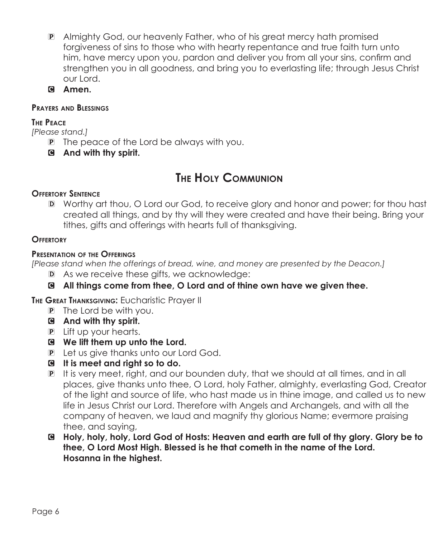- P Almighty God, our heavenly Father, who of his great mercy hath promised forgiveness of sins to those who with hearty repentance and true faith turn unto him, have mercy upon you, pardon and deliver you from all your sins, confirm and strengthen you in all goodness, and bring you to everlasting life; through Jesus Christ our Lord.
- C **Amen.**

# **Prayers and Blessings**

## **The Peace**

*[Please stand.]*

- P The peace of the Lord be always with you.
- C **And with thy spirit.**

# **The Holy Communion**

# **Offertory Sentence**

D Worthy art thou, O Lord our God, to receive glory and honor and power; for thou hast created all things, and by thy will they were created and have their being. Bring your tithes, gifts and offerings with hearts full of thanksgiving.

# **Offertory**

# **Presentation of the Offerings**

*[Please stand when the offerings of bread, wine, and money are presented by the Deacon.]*

- D As we receive these gifts, we acknowledge:
- C **All things come from thee, O Lord and of thine own have we given thee.**

**The Great Thanksgiving:** Eucharistic Prayer II

- P The Lord be with you.
- C **And with thy spirit.**
- P Lift up your hearts.
- C **We lift them up unto the Lord.**
- P Let us give thanks unto our Lord God.
- C **It is meet and right so to do.**
- P It is very meet, right, and our bounden duty, that we should at all times, and in all places, give thanks unto thee, O Lord, holy Father, almighty, everlasting God, Creator of the light and source of life, who hast made us in thine image, and called us to new life in Jesus Christ our Lord. Therefore with Angels and Archangels, and with all the company of heaven, we laud and magnify thy glorious Name; evermore praising thee, and saying,
- C **Holy, holy, holy, Lord God of Hosts: Heaven and earth are full of thy glory. Glory be to thee, O Lord Most High. Blessed is he that cometh in the name of the Lord. Hosanna in the highest.**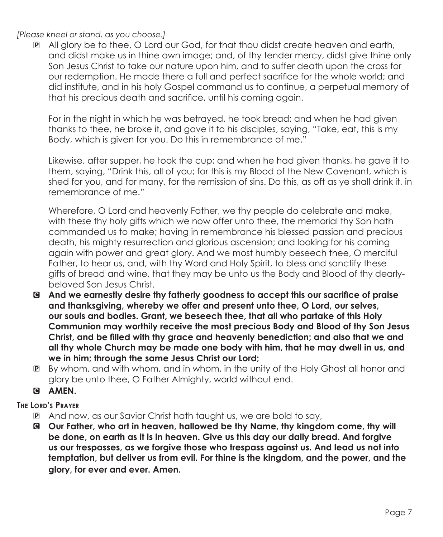*[Please kneel or stand, as you choose.]*

P All glory be to thee, O Lord our God, for that thou didst create heaven and earth, and didst make us in thine own image; and, of thy tender mercy, didst give thine only Son Jesus Christ to take our nature upon him, and to suffer death upon the cross for our redemption. He made there a full and perfect sacrifice for the whole world; and did institute, and in his holy Gospel command us to continue, a perpetual memory of that his precious death and sacrifice, until his coming again.

For in the night in which he was betrayed, he took bread; and when he had given thanks to thee, he broke it, and gave it to his disciples, saying, "Take, eat, this is my Body, which is given for you. Do this in remembrance of me."

 Likewise, after supper, he took the cup; and when he had given thanks, he gave it to them, saying, "Drink this, all of you; for this is my Blood of the New Covenant, which is shed for you, and for many, for the remission of sins. Do this, as oft as ye shall drink it, in remembrance of me."

 Wherefore, O Lord and heavenly Father, we thy people do celebrate and make, with these thy holy gifts which we now offer unto thee, the memorial thy Son hath commanded us to make; having in remembrance his blessed passion and precious death, his mighty resurrection and glorious ascension; and looking for his coming again with power and great glory. And we most humbly beseech thee, O merciful Father, to hear us, and, with thy Word and Holy Spirit, to bless and sanctify these gifts of bread and wine, that they may be unto us the Body and Blood of thy dearlybeloved Son Jesus Christ.

- C **And we earnestly desire thy fatherly goodness to accept this our sacrifice of praise and thanksgiving, whereby we offer and present unto thee, O Lord, our selves, our souls and bodies. Grant, we beseech thee, that all who partake of this Holy Communion may worthily receive the most precious Body and Blood of thy Son Jesus Christ, and be filled with thy grace and heavenly benediction; and also that we and all thy whole Church may be made one body with him, that he may dwell in us, and we in him; through the same Jesus Christ our Lord;**
- P By whom, and with whom, and in whom, in the unity of the Holy Ghost all honor and glory be unto thee, O Father Almighty, world without end.

# C **AMEN.**

# **The Lord's Prayer**

- P And now, as our Savior Christ hath taught us, we are bold to say,
- C **Our Father, who art in heaven, hallowed be thy Name, thy kingdom come, thy will be done, on earth as it is in heaven. Give us this day our daily bread. And forgive us our trespasses, as we forgive those who trespass against us. And lead us not into temptation, but deliver us from evil. For thine is the kingdom, and the power, and the glory, for ever and ever. Amen.**